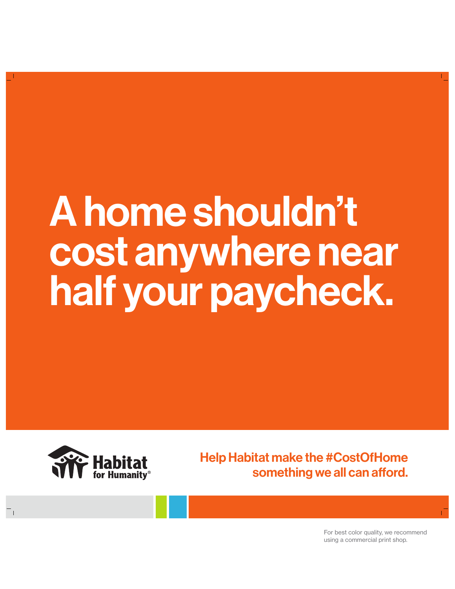## A home shouldn't cost anywhere near half your paycheck.



Help Habitat make the #CostOfHome something we all can afford.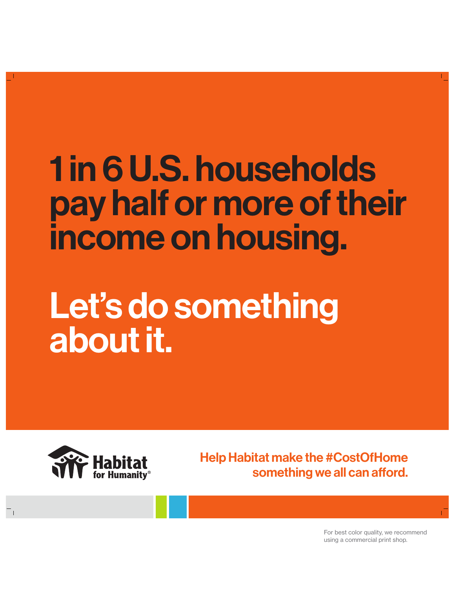### 1 in 6 U.S. households pay half or more of their income on housing.

### Let's do something about it.



Help Habitat make the #CostOfHome something we all can afford.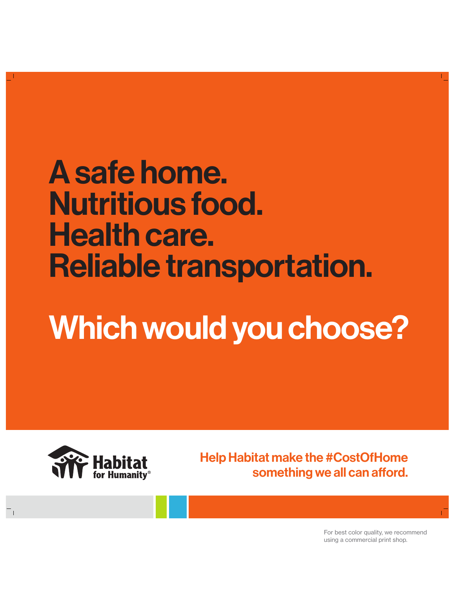#### A safe home. Nutritious food. Health care. Reliable transportation.

### Which would you choose?



Help Habitat make the #CostOfHome something we all can afford.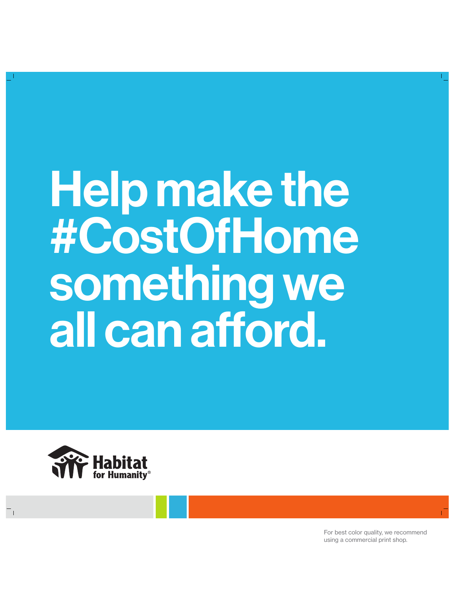# Help make the #CostOfHome something we all can afford.

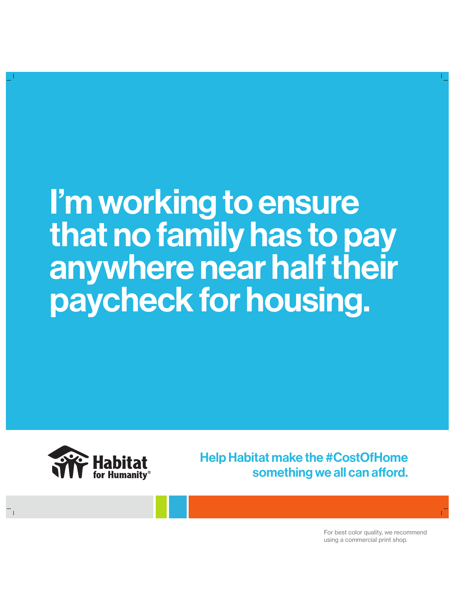#### I'm working to ensure that no family has to pay anywhere near half their paycheck for housing.



Help Habitat make the #CostOfHome something we all can afford.